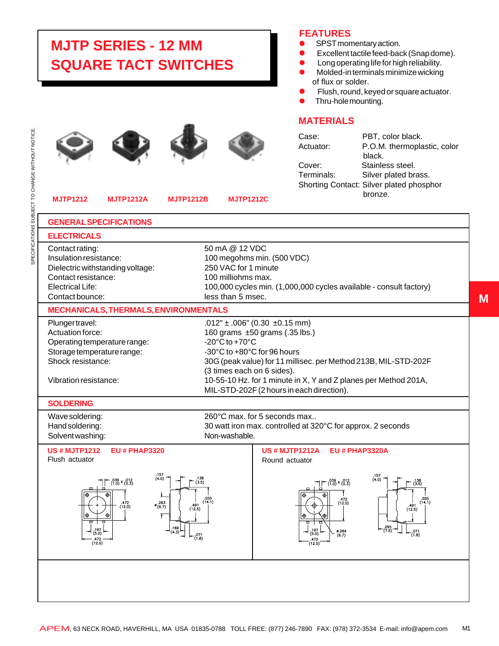## **MJTP SERIES - 12 MM SQUARE TACT SWITCHES**









## **MJTP1212 MJTP1212A MJTP1212B MJTP1212C**

## **FEATURES**

- SPST momentary action.
- Excellent tactile feed-back (Snap dome).
- $\bullet$  Long operating life for high reliability.
- Molded-in terminals minimize wicking of flux or solder.
- Flush, round, keyed or square actuator.<br>• Thru-hole mounting.
- Thru-hole mounting.

## **MATERIALS**

| Case:      | PBT, color black.                        |
|------------|------------------------------------------|
| Actuator:  | P.O.M. thermoplastic, color              |
|            | black.                                   |
| Cover:     | Stainless steel.                         |
| Terminals: | Silver plated brass.                     |
|            | Shorting Contact: Silver plated phosphor |
|            | bronze.                                  |
|            |                                          |

**M**

| <b>GENERAL SPECIFICATIONS</b>                                                                                                                                            |                                                                                                                                                                                                                                                                                                                                                                |  |
|--------------------------------------------------------------------------------------------------------------------------------------------------------------------------|----------------------------------------------------------------------------------------------------------------------------------------------------------------------------------------------------------------------------------------------------------------------------------------------------------------------------------------------------------------|--|
| <b>ELECTRICALS</b>                                                                                                                                                       |                                                                                                                                                                                                                                                                                                                                                                |  |
| Contact rating:<br>Insulation resistance:<br>Dielectric withstanding voltage:<br>Contact resistance:<br><b>Electrical Life:</b><br>Contact bounce:                       | 50 mA @ 12 VDC<br>100 megohms min. (500 VDC)<br>250 VAC for 1 minute<br>100 milliohms max.<br>100,000 cycles min. (1,000,000 cycles available - consult factory)<br>less than 5 msec.                                                                                                                                                                          |  |
| <b>MECHANICALS, THERMALS, ENVIRONMENTALS</b>                                                                                                                             |                                                                                                                                                                                                                                                                                                                                                                |  |
| Plunger travel:<br>Actuation force:<br>Operating temperature range:<br>Storage temperature range:<br>Shock resistance:<br>Vibration resistance:                          | $.012" \pm .006" (0.30 \pm 0.15$ mm)<br>160 grams ±50 grams (.35 lbs.)<br>-20 $^{\circ}$ C to +70 $^{\circ}$ C<br>-30°C to +80°C for 96 hours<br>30G (peak value) for 11 millisec. per Method 213B, MIL-STD-202F<br>(3 times each on 6 sides).<br>10-55-10 Hz. for 1 minute in X, Y and Z planes per Method 201A,<br>MIL-STD-202F (2 hours in each direction). |  |
| <b>SOLDERING</b>                                                                                                                                                         |                                                                                                                                                                                                                                                                                                                                                                |  |
| Wave soldering:<br>Hand soldering:<br>Solvent washing:                                                                                                                   | 260°C max, for 5 seconds max<br>30 watt iron max. controlled at 320°C for approx. 2 seconds<br>Non-washable.                                                                                                                                                                                                                                                   |  |
| <b>US#MJTP1212</b><br><b>EU # PHAP3320</b><br>Flush actuator<br>(4.0)<br>$-$ .039 x (012)<br>(1.0) × (0.3)<br>$% {263 \over (6.7)}$<br>$.472$<br>(12.0)<br>491<br>(12.5) | <b>US#MJTP1212A</b><br><b>EU # PHAP3320A</b><br>Round actuator<br>(40)<br>.138<br>(3.5)<br>$\neg \uparrow$ $\uparrow$ $^{039}_{(1.0)}$ x $^{012}_{(0.3)}$<br>$\binom{138}{(3.5)}$<br>555<br>555<br>(12.0)<br>(14.1)<br>(14.1)<br>.491<br>(12.5)                                                                                                                |  |
| 169<br>(4.3)<br>5.0<br>(12.0)                                                                                                                                            | $^{295}_{(7.5)}$<br>197<br>0.264<br>$^{071}_{(1.8)}$<br>(5.0)<br>$^{071}_{(1.8)}$<br>(6.7)<br>(12.0)                                                                                                                                                                                                                                                           |  |
|                                                                                                                                                                          |                                                                                                                                                                                                                                                                                                                                                                |  |